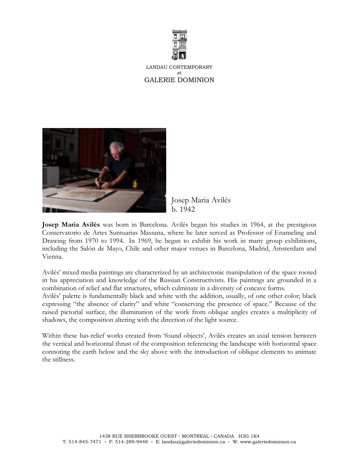

LANDAU CONTEMPORARY at GALERIE DOMINION



Josep Maria Avilés b. 1942

**Josep Maria Avilés** was born in Barcelona. Avilés began his studies in 1964, at the prestigious Conservatorio de Artes Suntuarias Massana, where he later served as Professor of Enameling and Drawing from 1970 to 1994. In 1969, he began to exhibit his work in many group exhibitions, including the Salón de Mayo, Chile and other major venues in Barcelona, Madrid, Amsterdam and Vienna.

Avilés' mixed media paintings are characterized by an architectonic manipulation of the space rooted in his appreciation and knowledge of the Russian Constructivists. His paintings are grounded in a combination of relief and flat structures, which culminate in a diversity of concave forms.

Avilés' palette is fundamentally black and white with the addition, usually, of one other color; black expressing "the absence of clarity" and white "conserving the presence of space." Because of the raised pictorial surface, the illumination of the work from oblique angles creates a multiplicity of shadows, the composition altering with the direction of the light source.

Within these bas-relief works created from 'found objects', Avilés creates an axial tension between the vertical and horizontal thrust of the composition referencing the landscape with horizontal space connoting the earth below and the sky above with the introduction of oblique elements to animate the stillness.